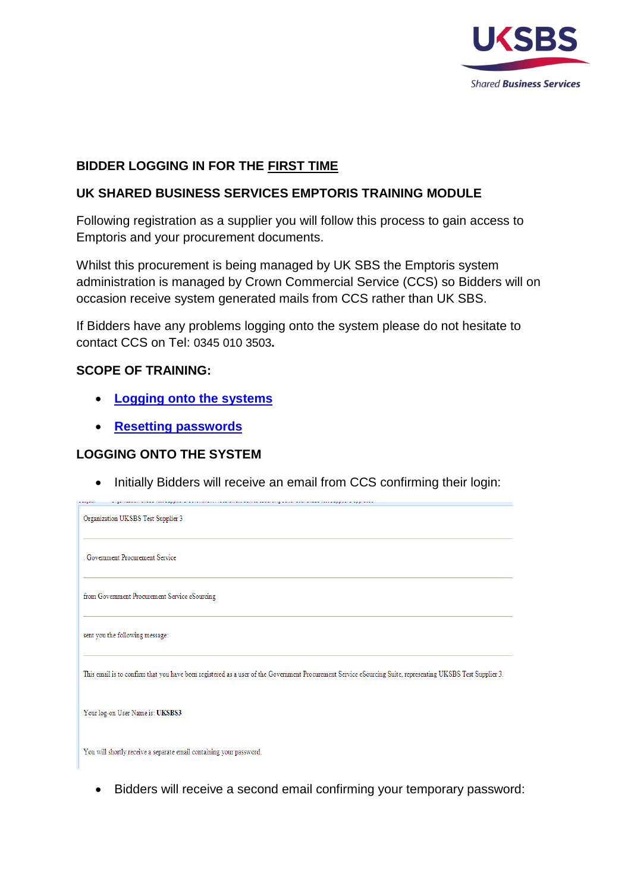

# **BIDDER LOGGING IN FOR THE FIRST TIME**

## **UK SHARED BUSINESS SERVICES EMPTORIS TRAINING MODULE**

Following registration as a supplier you will follow this process to gain access to Emptoris and your procurement documents.

Whilst this procurement is being managed by UK SBS the Emptoris system administration is managed by Crown Commercial Service (CCS) so Bidders will on occasion receive system generated mails from CCS rather than UK SBS.

If Bidders have any problems logging onto the system please do not hesitate to contact CCS on Tel: 0345 010 3503**.**

## **SCOPE OF TRAINING:**

- **[Logging onto the systems](#page-0-0)**
- **[Resetting passwords](#page-2-0)**

## <span id="page-0-0"></span>**LOGGING ONTO THE SYSTEM**

• Initially Bidders will receive an email from CCS confirming their login:

signification and concern process continuous concerns device describing above and and accompanies approach

| Organization UKSBS Test Supplier 3                                                                                                                          |
|-------------------------------------------------------------------------------------------------------------------------------------------------------------|
| . Government Procurement Service                                                                                                                            |
| from Government Procurement Service eSourcing                                                                                                               |
| sent you the following message:                                                                                                                             |
| This email is to confirm that you have been registered as a user of the Government Procurement Service eSourcing Suite, representing UKSBS Test Supplier 3. |
| Your log-on User Name is: UKSBS3                                                                                                                            |
| You will shortly receive a separate email containing your password.                                                                                         |

• Bidders will receive a second email confirming your temporary password: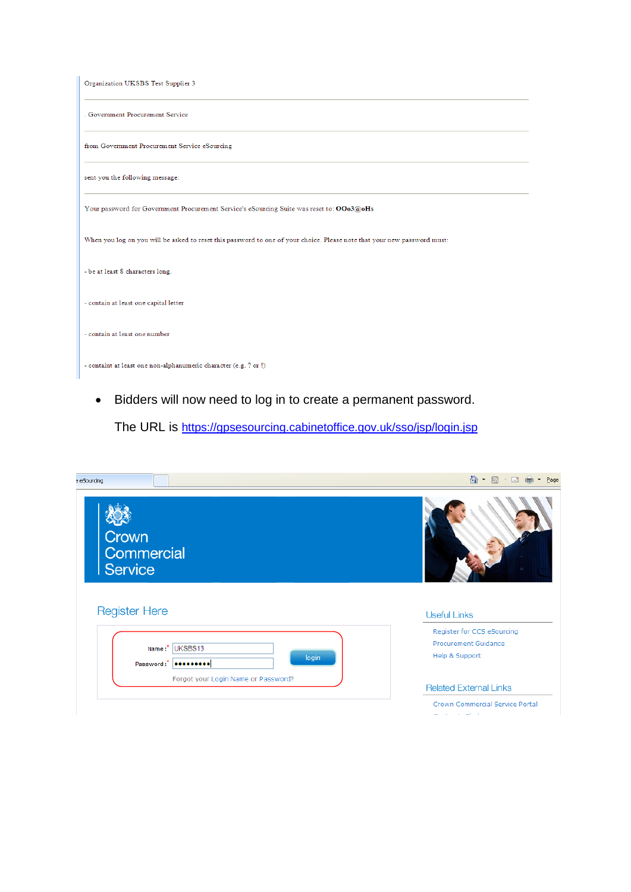| Organization UKSBS Test Supplier 3                                                                                       |
|--------------------------------------------------------------------------------------------------------------------------|
| . Government Procurement Service                                                                                         |
| from Government Procurement Service eSourcing                                                                            |
| sent you the following message:                                                                                          |
| Your password for Government Procurement Service's eSourcing Suite was reset to: OOo3@oHs                                |
| When you log on you will be asked to reset this password to one of your choice. Please note that your new password must: |
| - be at least 8 characters long.                                                                                         |
| - contain at least one capital letter                                                                                    |
|                                                                                                                          |
| - contain at least one number                                                                                            |

• Bidders will now need to log in to create a permanent password.

The URL is<https://gpsesourcing.cabinetoffice.gov.uk/sso/jsp/login.jsp>

| eSourcing                           | 合<br>同<br>$\frac{1}{2}$<br>$\star$<br>$\Box$<br>Page<br>$\mathcal{A}$ |
|-------------------------------------|-----------------------------------------------------------------------|
| Crown<br>Commercial<br>Service      |                                                                       |
| <b>Register Here</b>                | <b>Useful Links</b>                                                   |
|                                     | Register for CCS eSourcing                                            |
| Name:* UKSBS13                      | Procurement Guidance                                                  |
| login<br>Password:"                 | Help & Support                                                        |
| Forgot your Login Name or Password? |                                                                       |
|                                     |                                                                       |
|                                     | <b>Related External Links</b>                                         |
|                                     | Crown Commercial Service Portal                                       |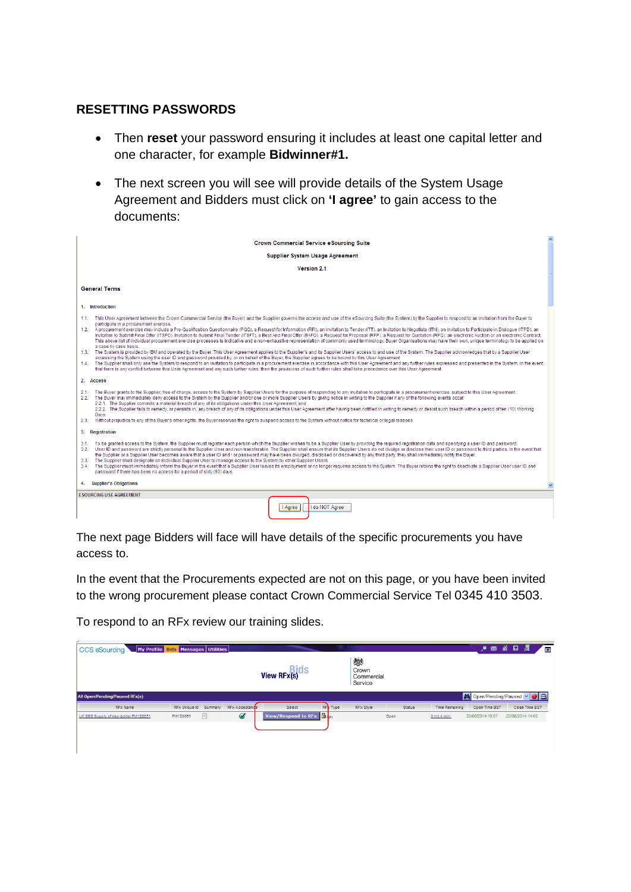### <span id="page-2-0"></span>**RESETTING PASSWORDS**

- Then **reset** your password ensuring it includes at least one capital letter and one character, for example **Bidwinner#1.**
- The next screen you will see will provide details of the System Usage Agreement and Bidders must click on **'I agree'** to gain access to the documents:

|                                                                                                                                                                                                                                                                                                                                                                                                                 | <b>Crown Commercial Service eSourcing Suite</b>                                                                                                                                                                                                                                                                                                                                                                                                                                                                                                                                                                                                                                                                                                                                                                                                                                                                                                                                                                                                                                                                                                                                                                                                                                                                                                                                |
|-----------------------------------------------------------------------------------------------------------------------------------------------------------------------------------------------------------------------------------------------------------------------------------------------------------------------------------------------------------------------------------------------------------------|--------------------------------------------------------------------------------------------------------------------------------------------------------------------------------------------------------------------------------------------------------------------------------------------------------------------------------------------------------------------------------------------------------------------------------------------------------------------------------------------------------------------------------------------------------------------------------------------------------------------------------------------------------------------------------------------------------------------------------------------------------------------------------------------------------------------------------------------------------------------------------------------------------------------------------------------------------------------------------------------------------------------------------------------------------------------------------------------------------------------------------------------------------------------------------------------------------------------------------------------------------------------------------------------------------------------------------------------------------------------------------|
|                                                                                                                                                                                                                                                                                                                                                                                                                 | <b>Supplier System Usage Agreement</b>                                                                                                                                                                                                                                                                                                                                                                                                                                                                                                                                                                                                                                                                                                                                                                                                                                                                                                                                                                                                                                                                                                                                                                                                                                                                                                                                         |
|                                                                                                                                                                                                                                                                                                                                                                                                                 | Version 21                                                                                                                                                                                                                                                                                                                                                                                                                                                                                                                                                                                                                                                                                                                                                                                                                                                                                                                                                                                                                                                                                                                                                                                                                                                                                                                                                                     |
| <b>General Terms</b>                                                                                                                                                                                                                                                                                                                                                                                            |                                                                                                                                                                                                                                                                                                                                                                                                                                                                                                                                                                                                                                                                                                                                                                                                                                                                                                                                                                                                                                                                                                                                                                                                                                                                                                                                                                                |
| 1. Introduction                                                                                                                                                                                                                                                                                                                                                                                                 |                                                                                                                                                                                                                                                                                                                                                                                                                                                                                                                                                                                                                                                                                                                                                                                                                                                                                                                                                                                                                                                                                                                                                                                                                                                                                                                                                                                |
| 11.<br>participate in a procurement exercise.<br>a case by case basis.<br>accessing the System using the user ID and password provided by, or on behalf of the Buyer, the Supplier agrees to be bound by this User Agreement.<br>that there is any conflict between this User Agreement and any such further rules, then the provisions of such further rules shall take precedence over this User Agreement.   | This User Agreement between the Crown Commercial Service (the Buver) and the Supplier governs the access and use of the eSourcing Suite (the System) by the Supplier to respond to an invitation from the Buver to<br>1.2. A procurement exercise may include a Pre-Qualification Questionnaire (PQQ), a Request for Information (RFI), an Invitation to Tender (ITT), an Invitation to Negotiate (ITN), an Invitation to Participate in Dialogue (I<br>Invitation to Submit Final Offer (ITSFO), Invitation to Submit Final Tender (ITSFT), a Best And Final Offer (BAFO), a Request for Proposal (RFP), a Request for Quotation (RFQ); an electronic Auction or an electronic Contra<br>This above list of individual procurement exercise processes is indicative and a non-exhaustive representation of commonly used terminology. Buyer Organisations may have their own, unique terminology to be applied on<br>1.3. The System is provided by IBM and operated by the Buyer. This User Agreement applies to the Supplier's and its Supplier Users' access to and use of the System. The Supplier acknowledges that by a Supplier User<br>1.4. The Supplier shall only use the System to respond to an invitation to participate in a procurement exercise in accordance with this User Agreement and any further rules expressed and presented in the System. In the ev |
| 2. Access                                                                                                                                                                                                                                                                                                                                                                                                       |                                                                                                                                                                                                                                                                                                                                                                                                                                                                                                                                                                                                                                                                                                                                                                                                                                                                                                                                                                                                                                                                                                                                                                                                                                                                                                                                                                                |
| 2.1.<br>The Buyer may immediately deny access to the System by the Supplier and/or one or more Supplier Users by giving notice in writing to the Supplier if any of the following events occur:<br>2.2.<br>2.2.1. The Supplier commits a material breach of any of its obligations under this User Agreement; and<br>Davs.                                                                                      | The Buver grants to the Supplier, free of charge, access to the System by Supplier Users for the purpose of responding to any invitation to participate in a procurement exercise, subject to this User Agreement,<br>2.2.2. The Supplier fails to remedy, or persists in, any breach of any of its obligations under this User Agreement after having been notified in writing to remedy or desist such breach within a period of ten (10) Working                                                                                                                                                                                                                                                                                                                                                                                                                                                                                                                                                                                                                                                                                                                                                                                                                                                                                                                            |
| 2.3.<br>Without prejudice to any of the Buyer's other rights, the Buyer reserves the right to suspend access to the System without notice for technical or legal reasons.                                                                                                                                                                                                                                       |                                                                                                                                                                                                                                                                                                                                                                                                                                                                                                                                                                                                                                                                                                                                                                                                                                                                                                                                                                                                                                                                                                                                                                                                                                                                                                                                                                                |
| 3. Registration                                                                                                                                                                                                                                                                                                                                                                                                 |                                                                                                                                                                                                                                                                                                                                                                                                                                                                                                                                                                                                                                                                                                                                                                                                                                                                                                                                                                                                                                                                                                                                                                                                                                                                                                                                                                                |
| 31.<br>3.2.<br>the Supplier or a Supplier User becomes aware that a user ID and / or password may have been divulged, disclosed or discovered by any third party, they shall immediately notify the Buyer.<br>The Supplier shall designate an individual Supplier User to manage access to the System by other Supplier Users.<br>3.3.<br>password if there has been no access for a period of sixty (60) days. | To be granted access to the System, the Supplier must register each person which the Supplier wishes to be a Supplier User by providing the required registration data and specifying a user ID and password.<br>User ID and password are strictly personal to the Supplier User and non-transferable. The Supplier shall ensure that its Supplier Users do not divulge or disclose their user ID or password to third parties. In the event th<br>3.4. The Supplier must immediately inform the Buyer in the event that a Supplier User leaves its employment or no longer requires access to the System. The Buyer retains the right to deactivate a Supplier User user ID and                                                                                                                                                                                                                                                                                                                                                                                                                                                                                                                                                                                                                                                                                               |
| 4. Supplier's Obligations                                                                                                                                                                                                                                                                                                                                                                                       |                                                                                                                                                                                                                                                                                                                                                                                                                                                                                                                                                                                                                                                                                                                                                                                                                                                                                                                                                                                                                                                                                                                                                                                                                                                                                                                                                                                |
| <b>ESOURCING USE AGREEMENT</b>                                                                                                                                                                                                                                                                                                                                                                                  |                                                                                                                                                                                                                                                                                                                                                                                                                                                                                                                                                                                                                                                                                                                                                                                                                                                                                                                                                                                                                                                                                                                                                                                                                                                                                                                                                                                |
| I Agree                                                                                                                                                                                                                                                                                                                                                                                                         | I do NOT Agree                                                                                                                                                                                                                                                                                                                                                                                                                                                                                                                                                                                                                                                                                                                                                                                                                                                                                                                                                                                                                                                                                                                                                                                                                                                                                                                                                                 |

The next page Bidders will face will have details of the specific procurements you have access to.

In the event that the Procurements expected are not on this page, or you have been invited to the wrong procurement please contact Crown Commercial Service Tel 0345 410 3503.

To respond to an RFx review our training slides.

| My Profile Bids Messages Utilities<br><b>CCS eSourcing</b> |                       |   |                    |                                                                   |                      |                                     |                                        | ●图备目             | 阔                         | ø |
|------------------------------------------------------------|-----------------------|---|--------------------|-------------------------------------------------------------------|----------------------|-------------------------------------|----------------------------------------|------------------|---------------------------|---|
|                                                            |                       |   |                    | Dide<br>View RFx(s)                                               |                      | 戀<br>Crown<br>Commercial<br>Service |                                        |                  |                           |   |
| <b>All Open/Pending/Paused RFx(s)</b>                      |                       |   |                    |                                                                   |                      |                                     |                                        |                  | A Open/Pending/Paused ▽ 8 |   |
| <b>RFx Name</b>                                            | RFx Unique Id Summary |   | RFx Acceptance     | Select                                                            | RF <sup>3</sup> Type | <b>RFx Style</b>                    | <b>Time Remaining</b><br><b>Status</b> | Open Time BST    | Close Time BST            |   |
| UK SBS Supply of new boiler FM120051                       | FM120051              | E | $\bm{\mathcal{G}}$ | View/Respond to RFx $\begin{array}{ c c c }\n\hline\n\end{array}$ |                      | Open                                | 3 hrs 4 min.                           | 20/06/2014 13:57 | 23/06/2014 14:00          |   |
|                                                            |                       |   |                    |                                                                   |                      |                                     |                                        |                  |                           |   |
|                                                            |                       |   |                    |                                                                   |                      |                                     |                                        |                  |                           |   |
|                                                            |                       |   |                    |                                                                   |                      |                                     |                                        |                  |                           |   |
|                                                            |                       |   |                    |                                                                   |                      |                                     |                                        |                  |                           |   |